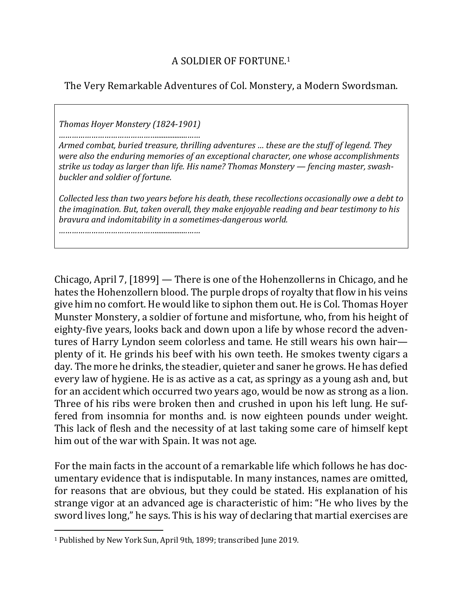The Very Remarkable Adventures of Col. Monstery, a Modern Swordsman.

*Thomas Hoyer Monstery (1824-1901)*

*……………………………………….................……*

*Armed combat, buried treasure, thrilling adventures ... these are the stuff of legend. They were also the enduring memories of an exceptional character, one whose accomplishments* strike us today as larger than life. His name? Thomas Monstery — fencing master, swash**buckler** and soldier of fortune.

*Collected less than two years before his death, these recollections occasionally owe a debt to the imagination. But, taken overall, they make enjoyable reading and bear testimony to his bravura and indomitability in a sometimes-dangerous world.*

*……………………………………….................……*

Chicago, April 7, [1899] — There is one of the Hohenzollerns in Chicago, and he hates the Hohenzollern blood. The purple drops of royalty that flow in his veins give him no comfort. He would like to siphon them out. He is Col. Thomas Hoyer Munster Monstery, a soldier of fortune and misfortune, who, from his height of eighty-five years, looks back and down upon a life by whose record the adventures of Harry Lyndon seem colorless and tame. He still wears his own hairplenty of it. He grinds his beef with his own teeth. He smokes twenty cigars a day. The more he drinks, the steadier, quieter and saner he grows. He has defied every law of hygiene. He is as active as a cat, as springy as a young ash and, but for an accident which occurred two years ago, would be now as strong as a lion. Three of his ribs were broken then and crushed in upon his left lung. He suffered from insomnia for months and. is now eighteen pounds under weight. This lack of flesh and the necessity of at last taking some care of himself kept him out of the war with Spain. It was not age.

For the main facts in the account of a remarkable life which follows he has documentary evidence that is indisputable. In many instances, names are omitted, for reasons that are obvious, but they could be stated. His explanation of his strange vigor at an advanced age is characteristic of him: "He who lives by the sword lives long," he says. This is his way of declaring that martial exercises are

 $\overline{a}$ 

<sup>&</sup>lt;sup>1</sup> Published by New York Sun, April 9th, 1899; transcribed June 2019.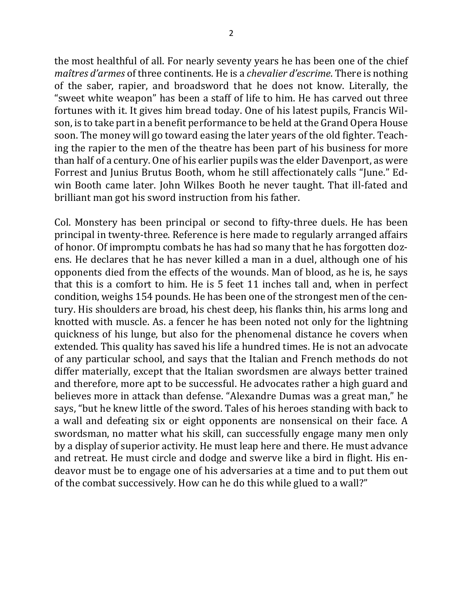the most healthful of all. For nearly seventy years he has been one of the chief *maîtres d'armes* of three continents. He is a *chevalier d'escrime*. There is nothing of the saber, rapier, and broadsword that he does not know. Literally, the "sweet white weapon" has been a staff of life to him. He has carved out three fortunes with it. It gives him bread today. One of his latest pupils, Francis Wilson, is to take part in a benefit performance to be held at the Grand Opera House soon. The money will go toward easing the later years of the old fighter. Teaching the rapier to the men of the theatre has been part of his business for more than half of a century. One of his earlier pupils was the elder Davenport, as were Forrest and Junius Brutus Booth, whom he still affectionately calls "June." Edwin Booth came later. John Wilkes Booth he never taught. That ill-fated and brilliant man got his sword instruction from his father.

Col. Monstery has been principal or second to fifty-three duels. He has been principal in twenty-three. Reference is here made to regularly arranged affairs of honor. Of impromptu combats he has had so many that he has forgotten dozens. He declares that he has never killed a man in a duel, although one of his opponents died from the effects of the wounds. Man of blood, as he is, he says that this is a comfort to him. He is 5 feet 11 inches tall and, when in perfect condition, weighs 154 pounds. He has been one of the strongest men of the century. His shoulders are broad, his chest deep, his flanks thin, his arms long and knotted with muscle. As. a fencer he has been noted not only for the lightning quickness of his lunge, but also for the phenomenal distance he covers when extended. This quality has saved his life a hundred times. He is not an advocate of any particular school, and says that the Italian and French methods do not differ materially, except that the Italian swordsmen are always better trained and therefore, more apt to be successful. He advocates rather a high guard and believes more in attack than defense. "Alexandre Dumas was a great man," he says, "but he knew little of the sword. Tales of his heroes standing with back to a wall and defeating six or eight opponents are nonsensical on their face. A swordsman, no matter what his skill, can successfully engage many men only by a display of superior activity. He must leap here and there. He must advance and retreat. He must circle and dodge and swerve like a bird in flight. His endeavor must be to engage one of his adversaries at a time and to put them out of the combat successively. How can he do this while glued to a wall?"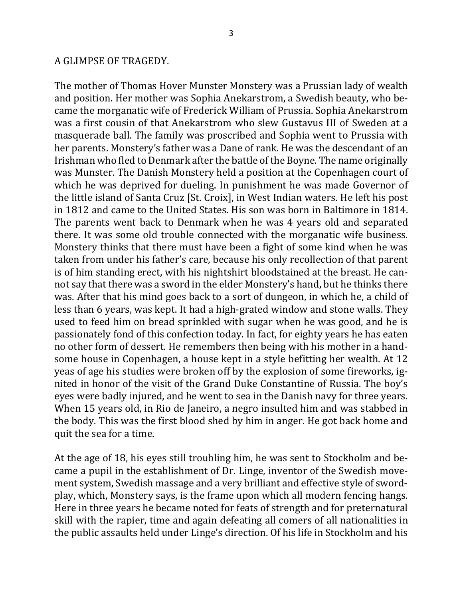#### A GLIMPSE OF TRAGEDY.

The mother of Thomas Hover Munster Monstery was a Prussian lady of wealth and position. Her mother was Sophia Anekarstrom, a Swedish beauty, who became the morganatic wife of Frederick William of Prussia. Sophia Anekarstrom was a first cousin of that Anekarstrom who slew Gustavus III of Sweden at a masquerade ball. The family was proscribed and Sophia went to Prussia with her parents. Monstery's father was a Dane of rank. He was the descendant of an Irishman who fled to Denmark after the battle of the Boyne. The name originally was Munster. The Danish Monstery held a position at the Copenhagen court of which he was deprived for dueling. In punishment he was made Governor of the little island of Santa Cruz [St. Croix], in West Indian waters. He left his post in 1812 and came to the United States. His son was born in Baltimore in 1814. The parents went back to Denmark when he was 4 years old and separated there. It was some old trouble connected with the morganatic wife business. Monstery thinks that there must have been a fight of some kind when he was taken from under his father's care, because his only recollection of that parent is of him standing erect, with his nightshirt bloodstained at the breast. He cannot say that there was a sword in the elder Monstery's hand, but he thinks there was. After that his mind goes back to a sort of dungeon, in which he, a child of less than 6 years, was kept. It had a high-grated window and stone walls. They used to feed him on bread sprinkled with sugar when he was good, and he is passionately fond of this confection today. In fact, for eighty years he has eaten no other form of dessert. He remembers then being with his mother in a handsome house in Copenhagen, a house kept in a style befitting her wealth. At 12 yeas of age his studies were broken off by the explosion of some fireworks, ignited in honor of the visit of the Grand Duke Constantine of Russia. The boy's eyes were badly injured, and he went to sea in the Danish navy for three years. When 15 years old, in Rio de Janeiro, a negro insulted him and was stabbed in the body. This was the first blood shed by him in anger. He got back home and quit the sea for a time.

At the age of 18, his eyes still troubling him, he was sent to Stockholm and became a pupil in the establishment of Dr. Linge, inventor of the Swedish movement system, Swedish massage and a very brilliant and effective style of swordplay, which, Monstery says, is the frame upon which all modern fencing hangs. Here in three years he became noted for feats of strength and for preternatural skill with the rapier, time and again defeating all comers of all nationalities in the public assaults held under Linge's direction. Of his life in Stockholm and his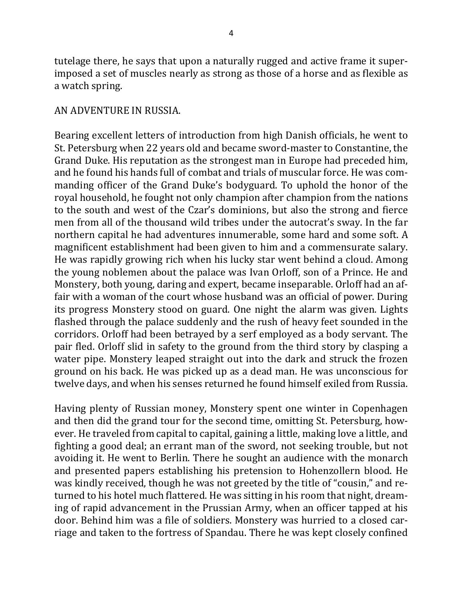tutelage there, he says that upon a naturally rugged and active frame it superimposed a set of muscles nearly as strong as those of a horse and as flexible as a watch spring.

#### AN ADVENTURE IN RUSSIA.

Bearing excellent letters of introduction from high Danish officials, he went to St. Petersburg when 22 years old and became sword-master to Constantine, the Grand Duke. His reputation as the strongest man in Europe had preceded him, and he found his hands full of combat and trials of muscular force. He was commanding officer of the Grand Duke's bodyguard. To uphold the honor of the royal household, he fought not only champion after champion from the nations to the south and west of the Czar's dominions, but also the strong and fierce men from all of the thousand wild tribes under the autocrat's sway. In the far northern capital he had adventures innumerable, some hard and some soft. A magnificent establishment had been given to him and a commensurate salary. He was rapidly growing rich when his lucky star went behind a cloud. Among the young noblemen about the palace was Ivan Orloff, son of a Prince. He and Monstery, both young, daring and expert, became inseparable. Orloff had an affair with a woman of the court whose husband was an official of power. During its progress Monstery stood on guard. One night the alarm was given. Lights flashed through the palace suddenly and the rush of heavy feet sounded in the corridors. Orloff had been betrayed by a serf employed as a body servant. The pair fled. Orloff slid in safety to the ground from the third story by clasping a water pipe. Monstery leaped straight out into the dark and struck the frozen ground on his back. He was picked up as a dead man. He was unconscious for twelve days, and when his senses returned he found himself exiled from Russia.

Having plenty of Russian money, Monstery spent one winter in Copenhagen and then did the grand tour for the second time, omitting St. Petersburg, however. He traveled from capital to capital, gaining a little, making love a little, and fighting a good deal; an errant man of the sword, not seeking trouble, but not avoiding it. He went to Berlin. There he sought an audience with the monarch and presented papers establishing his pretension to Hohenzollern blood. He was kindly received, though he was not greeted by the title of "cousin," and returned to his hotel much flattered. He was sitting in his room that night, dreaming of rapid advancement in the Prussian Army, when an officer tapped at his door. Behind him was a file of soldiers. Monstery was hurried to a closed carriage and taken to the fortress of Spandau. There he was kept closely confined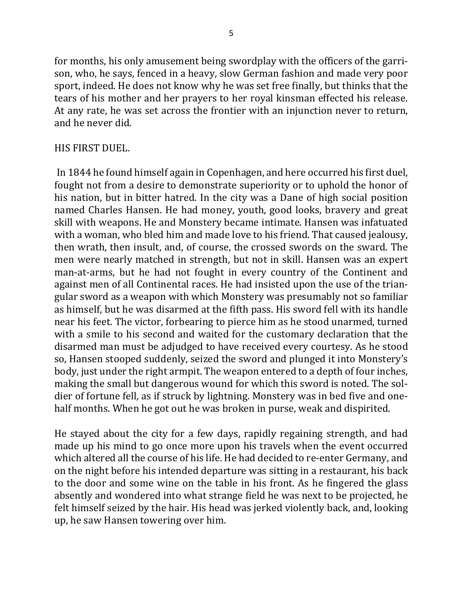for months, his only amusement being swordplay with the officers of the garrison, who, he says, fenced in a heavy, slow German fashion and made very poor sport, indeed. He does not know why he was set free finally, but thinks that the tears of his mother and her prayers to her royal kinsman effected his release. At any rate, he was set across the frontier with an injunction never to return, and he never did.

## HIS FIRST DUEL.

In 1844 he found himself again in Copenhagen, and here occurred his first duel, fought not from a desire to demonstrate superiority or to uphold the honor of his nation, but in bitter hatred. In the city was a Dane of high social position named Charles Hansen. He had money, youth, good looks, bravery and great skill with weapons. He and Monstery became intimate. Hansen was infatuated with a woman, who bled him and made love to his friend. That caused jealousy, then wrath, then insult, and, of course, the crossed swords on the sward. The men were nearly matched in strength, but not in skill. Hansen was an expert man-at-arms, but he had not fought in every country of the Continent and against men of all Continental races. He had insisted upon the use of the triangular sword as a weapon with which Monstery was presumably not so familiar as himself, but he was disarmed at the fifth pass. His sword fell with its handle near his feet. The victor, forbearing to pierce him as he stood unarmed, turned with a smile to his second and waited for the customary declaration that the disarmed man must be adjudged to have received every courtesy. As he stood so, Hansen stooped suddenly, seized the sword and plunged it into Monstery's body, just under the right armpit. The weapon entered to a depth of four inches, making the small but dangerous wound for which this sword is noted. The soldier of fortune fell, as if struck by lightning. Monstery was in bed five and onehalf months. When he got out he was broken in purse, weak and dispirited.

He stayed about the city for a few days, rapidly regaining strength, and had made up his mind to go once more upon his travels when the event occurred which altered all the course of his life. He had decided to re-enter Germany, and on the night before his intended departure was sitting in a restaurant, his back to the door and some wine on the table in his front. As he fingered the glass absently and wondered into what strange field he was next to be projected, he felt himself seized by the hair. His head was jerked violently back, and, looking up, he saw Hansen towering over him.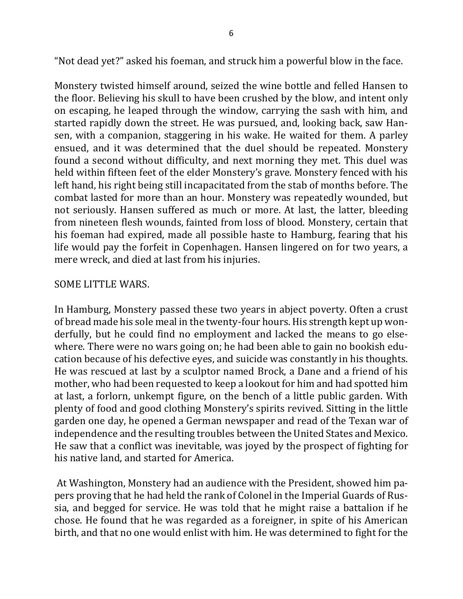"Not dead yet?" asked his foeman, and struck him a powerful blow in the face.

Monstery twisted himself around, seized the wine bottle and felled Hansen to the floor. Believing his skull to have been crushed by the blow, and intent only on escaping, he leaped through the window, carrying the sash with him, and started rapidly down the street. He was pursued, and, looking back, saw Hansen, with a companion, staggering in his wake. He waited for them. A parley ensued, and it was determined that the duel should be repeated. Monstery found a second without difficulty, and next morning they met. This duel was held within fifteen feet of the elder Monstery's grave. Monstery fenced with his left hand, his right being still incapacitated from the stab of months before. The combat lasted for more than an hour. Monstery was repeatedly wounded, but not seriously. Hansen suffered as much or more. At last, the latter, bleeding from nineteen flesh wounds, fainted from loss of blood. Monstery, certain that his foeman had expired, made all possible haste to Hamburg, fearing that his life would pay the forfeit in Copenhagen. Hansen lingered on for two years, a mere wreck, and died at last from his injuries.

### SOME LITTLE WARS.

In Hamburg, Monstery passed these two years in abject poverty. Often a crust of bread made his sole meal in the twenty-four hours. His strength kept up wonderfully, but he could find no employment and lacked the means to go elsewhere. There were no wars going on; he had been able to gain no bookish education because of his defective eyes, and suicide was constantly in his thoughts. He was rescued at last by a sculptor named Brock, a Dane and a friend of his mother, who had been requested to keep a lookout for him and had spotted him at last, a forlorn, unkempt figure, on the bench of a little public garden. With plenty of food and good clothing Monstery's spirits revived. Sitting in the little garden one day, he opened a German newspaper and read of the Texan war of independence and the resulting troubles between the United States and Mexico. He saw that a conflict was inevitable, was joyed by the prospect of fighting for his native land, and started for America.

At Washington, Monstery had an audience with the President, showed him papers proving that he had held the rank of Colonel in the Imperial Guards of Russia, and begged for service. He was told that he might raise a battalion if he chose. He found that he was regarded as a foreigner, in spite of his American birth, and that no one would enlist with him. He was determined to fight for the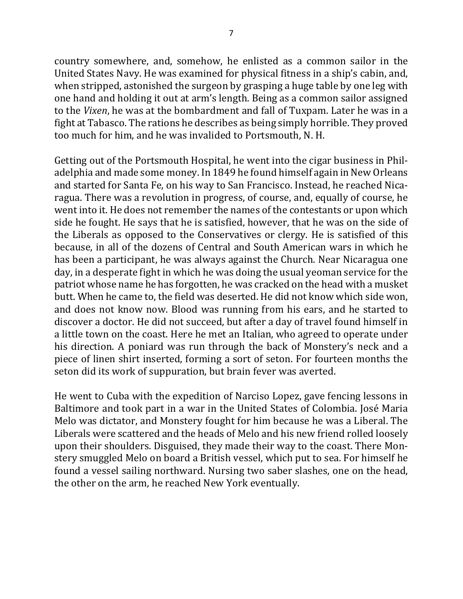country somewhere, and, somehow, he enlisted as a common sailor in the United States Navy. He was examined for physical fitness in a ship's cabin, and, when stripped, astonished the surgeon by grasping a huge table by one leg with one hand and holding it out at arm's length. Being as a common sailor assigned to the *Vixen*, he was at the bombardment and fall of Tuxpam. Later he was in a fight at Tabasco. The rations he describes as being simply horrible. They proved too much for him, and he was invalided to Portsmouth, N. H.

Getting out of the Portsmouth Hospital, he went into the cigar business in Philadelphia and made some money. In 1849 he found himself again in New Orleans and started for Santa Fe, on his way to San Francisco. Instead, he reached Nicaragua. There was a revolution in progress, of course, and, equally of course, he went into it. He does not remember the names of the contestants or upon which side he fought. He says that he is satisfied, however, that he was on the side of the Liberals as opposed to the Conservatives or clergy. He is satisfied of this because, in all of the dozens of Central and South American wars in which he has been a participant, he was always against the Church. Near Nicaragua one day, in a desperate fight in which he was doing the usual yeoman service for the patriot whose name he has forgotten, he was cracked on the head with a musket butt. When he came to, the field was deserted. He did not know which side won, and does not know now. Blood was running from his ears, and he started to discover a doctor. He did not succeed, but after a day of travel found himself in a little town on the coast. Here he met an Italian, who agreed to operate under his direction. A poniard was run through the back of Monstery's neck and a piece of linen shirt inserted, forming a sort of seton. For fourteen months the seton did its work of suppuration, but brain fever was averted.

He went to Cuba with the expedition of Narciso Lopez, gave fencing lessons in Baltimore and took part in a war in the United States of Colombia. José Maria Melo was dictator, and Monstery fought for him because he was a Liberal. The Liberals were scattered and the heads of Melo and his new friend rolled loosely upon their shoulders. Disguised, they made their way to the coast. There Monstery smuggled Melo on board a British vessel, which put to sea. For himself he found a vessel sailing northward. Nursing two saber slashes, one on the head, the other on the arm, he reached New York eventually.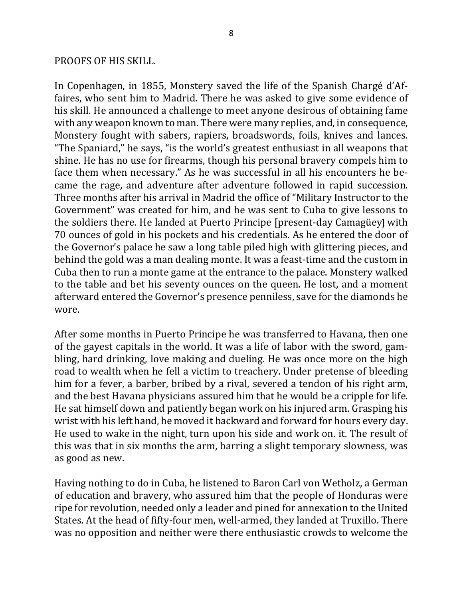#### PROOFS OF HIS SKILL.

In Copenhagen, in 1855, Monstery saved the life of the Spanish Chargé d'Affaires, who sent him to Madrid. There he was asked to give some evidence of his skill. He announced a challenge to meet anyone desirous of obtaining fame with any weapon known to man. There were many replies, and, in consequence, Monstery fought with sabers, rapiers, broadswords, foils, knives and lances. "The Spaniard," he says, "is the world's greatest enthusiast in all weapons that shine. He has no use for firearms, though his personal bravery compels him to face them when necessary." As he was successful in all his encounters he became the rage, and adventure after adventure followed in rapid succession. Three months after his arrival in Madrid the office of "Military Instructor to the Government" was created for him, and he was sent to Cuba to give lessons to the soldiers there. He landed at Puerto Principe [present-day Camagüey] with 70 ounces of gold in his pockets and his credentials. As he entered the door of the Governor's palace he saw a long table piled high with glittering pieces, and behind the gold was a man dealing monte. It was a feast-time and the custom in Cuba then to run a monte game at the entrance to the palace. Monstery walked to the table and bet his seventy ounces on the queen. He lost, and a moment afterward entered the Governor's presence penniless, save for the diamonds he wore. 

After some months in Puerto Principe he was transferred to Havana, then one of the gayest capitals in the world. It was a life of labor with the sword, gambling, hard drinking, love making and dueling. He was once more on the high road to wealth when he fell a victim to treachery. Under pretense of bleeding him for a fever, a barber, bribed by a rival, severed a tendon of his right arm, and the best Havana physicians assured him that he would be a cripple for life. He sat himself down and patiently began work on his injured arm. Grasping his wrist with his left hand, he moved it backward and forward for hours every day. He used to wake in the night, turn upon his side and work on. it. The result of this was that in six months the arm, barring a slight temporary slowness, was as good as new.

Having nothing to do in Cuba, he listened to Baron Carl von Wetholz, a German of education and bravery, who assured him that the people of Honduras were ripe for revolution, needed only a leader and pined for annexation to the United States. At the head of fifty-four men, well-armed, they landed at Truxillo. There was no opposition and neither were there enthusiastic crowds to welcome the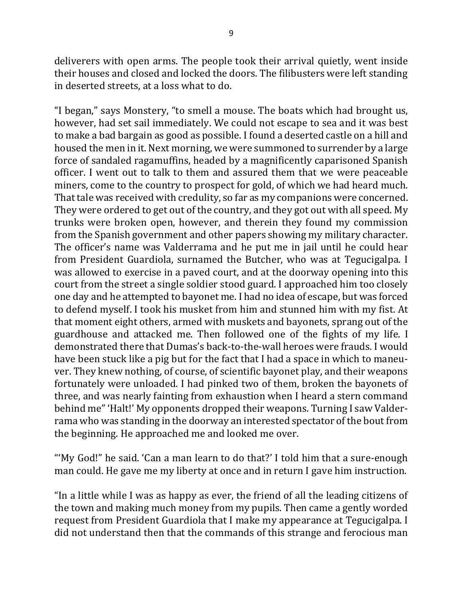deliverers with open arms. The people took their arrival quietly, went inside their houses and closed and locked the doors. The filibusters were left standing in deserted streets, at a loss what to do.

"I began," says Monstery, "to smell a mouse. The boats which had brought us, however, had set sail immediately. We could not escape to sea and it was best to make a bad bargain as good as possible. I found a deserted castle on a hill and housed the men in it. Next morning, we were summoned to surrender by a large force of sandaled ragamuffins, headed by a magnificently caparisoned Spanish officer. I went out to talk to them and assured them that we were peaceable miners, come to the country to prospect for gold, of which we had heard much. That tale was received with credulity, so far as my companions were concerned. They were ordered to get out of the country, and they got out with all speed. My trunks were broken open, however, and therein they found my commission from the Spanish government and other papers showing my military character. The officer's name was Valderrama and he put me in jail until he could hear from President Guardiola, surnamed the Butcher, who was at Tegucigalpa. I was allowed to exercise in a paved court, and at the doorway opening into this court from the street a single soldier stood guard. I approached him too closely one day and he attempted to bayonet me. I had no idea of escape, but was forced to defend myself. I took his musket from him and stunned him with my fist. At that moment eight others, armed with muskets and bayonets, sprang out of the guardhouse and attacked me. Then followed one of the fights of my life. I demonstrated there that Dumas's back-to-the-wall heroes were frauds. I would have been stuck like a pig but for the fact that I had a space in which to maneuver. They knew nothing, of course, of scientific bayonet play, and their weapons fortunately were unloaded. I had pinked two of them, broken the bayonets of three, and was nearly fainting from exhaustion when I heard a stern command behind me" 'Halt!' My opponents dropped their weapons. Turning I saw Valderrama who was standing in the doorway an interested spectator of the bout from the beginning. He approached me and looked me over.

"'My God!" he said. 'Can a man learn to do that?' I told him that a sure-enough man could. He gave me my liberty at once and in return I gave him instruction.

"In a little while I was as happy as ever, the friend of all the leading citizens of the town and making much money from my pupils. Then came a gently worded request from President Guardiola that I make my appearance at Tegucigalpa. I did not understand then that the commands of this strange and ferocious man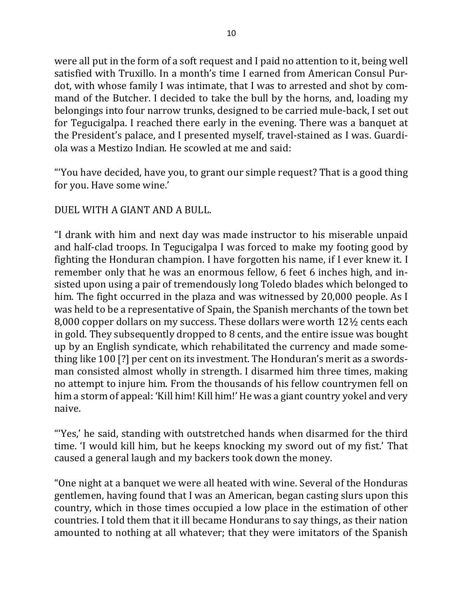were all put in the form of a soft request and I paid no attention to it, being well satisfied with Truxillo. In a month's time I earned from American Consul Purdot, with whose family I was intimate, that I was to arrested and shot by command of the Butcher. I decided to take the bull by the horns, and, loading my belongings into four narrow trunks, designed to be carried mule-back, I set out for Tegucigalpa. I reached there early in the evening. There was a banquet at the President's palace, and I presented myself, travel-stained as I was. Guardiola was a Mestizo Indian. He scowled at me and said:

"You have decided, have you, to grant our simple request? That is a good thing for you. Have some wine.'

# DUEL WITH A GIANT AND A BULL.

"I drank with him and next day was made instructor to his miserable unpaid and half-clad troops. In Tegucigalpa I was forced to make my footing good by fighting the Honduran champion. I have forgotten his name, if I ever knew it. I remember only that he was an enormous fellow, 6 feet 6 inches high, and insisted upon using a pair of tremendously long Toledo blades which belonged to him. The fight occurred in the plaza and was witnessed by 20,000 people. As I was held to be a representative of Spain, the Spanish merchants of the town bet 8,000 copper dollars on my success. These dollars were worth  $12\frac{1}{2}$  cents each in gold. They subsequently dropped to 8 cents, and the entire issue was bought up by an English syndicate, which rehabilitated the currency and made something like 100 [?] per cent on its investment. The Honduran's merit as a swordsman consisted almost wholly in strength. I disarmed him three times, making no attempt to injure him. From the thousands of his fellow countrymen fell on him a storm of appeal: 'Kill him! Kill him!' He was a giant country yokel and very naive.

"'Yes,' he said, standing with outstretched hands when disarmed for the third time. I would kill him, but he keeps knocking my sword out of my fist.' That caused a general laugh and my backers took down the money.

"One night at a banquet we were all heated with wine. Several of the Honduras gentlemen, having found that I was an American, began casting slurs upon this country, which in those times occupied a low place in the estimation of other countries. I told them that it ill became Hondurans to say things, as their nation amounted to nothing at all whatever; that they were imitators of the Spanish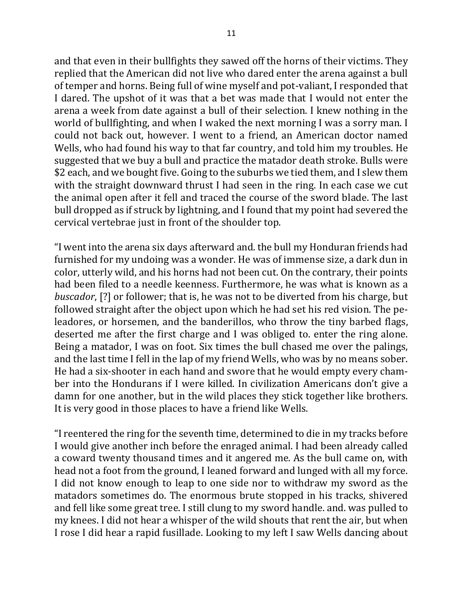and that even in their bullfights they sawed off the horns of their victims. They replied that the American did not live who dared enter the arena against a bull of temper and horns. Being full of wine myself and pot-valiant, I responded that I dared. The upshot of it was that a bet was made that I would not enter the arena a week from date against a bull of their selection. I knew nothing in the world of bullfighting, and when I waked the next morning I was a sorry man. I could not back out, however. I went to a friend, an American doctor named Wells, who had found his way to that far country, and told him my troubles. He suggested that we buy a bull and practice the matador death stroke. Bulls were \$2 each, and we bought five. Going to the suburbs we tied them, and I slew them with the straight downward thrust I had seen in the ring. In each case we cut the animal open after it fell and traced the course of the sword blade. The last bull dropped as if struck by lightning, and I found that my point had severed the cervical vertebrae just in front of the shoulder top.

"I went into the arena six days afterward and. the bull my Honduran friends had furnished for my undoing was a wonder. He was of immense size, a dark dun in color, utterly wild, and his horns had not been cut. On the contrary, their points had been filed to a needle keenness. Furthermore, he was what is known as a *buscador*, [?] or follower; that is, he was not to be diverted from his charge, but followed straight after the object upon which he had set his red vision. The peleadores, or horsemen, and the banderillos, who throw the tiny barbed flags, deserted me after the first charge and I was obliged to, enter the ring alone. Being a matador, I was on foot. Six times the bull chased me over the palings, and the last time I fell in the lap of my friend Wells, who was by no means sober. He had a six-shooter in each hand and swore that he would empty every chamber into the Hondurans if I were killed. In civilization Americans don't give a damn for one another, but in the wild places they stick together like brothers. It is very good in those places to have a friend like Wells.

"I reentered the ring for the seventh time, determined to die in my tracks before I would give another inch before the enraged animal. I had been already called a coward twenty thousand times and it angered me. As the bull came on, with head not a foot from the ground, I leaned forward and lunged with all my force. I did not know enough to leap to one side nor to withdraw my sword as the matadors sometimes do. The enormous brute stopped in his tracks, shivered and fell like some great tree. I still clung to my sword handle. and. was pulled to my knees. I did not hear a whisper of the wild shouts that rent the air, but when I rose I did hear a rapid fusillade. Looking to my left I saw Wells dancing about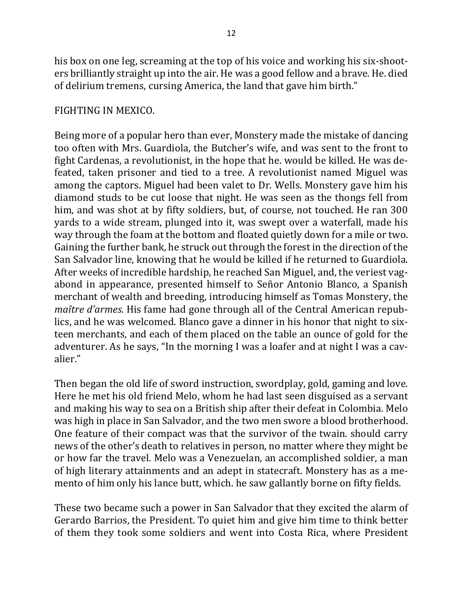his box on one leg, screaming at the top of his voice and working his six-shooters brilliantly straight up into the air. He was a good fellow and a brave. He. died of delirium tremens, cursing America, the land that gave him birth."

## FIGHTING IN MEXICO.

Being more of a popular hero than ever, Monstery made the mistake of dancing too often with Mrs. Guardiola, the Butcher's wife, and was sent to the front to fight Cardenas, a revolutionist, in the hope that he. would be killed. He was defeated, taken prisoner and tied to a tree. A revolutionist named Miguel was among the captors. Miguel had been valet to Dr. Wells. Monstery gave him his diamond studs to be cut loose that night. He was seen as the thongs fell from him, and was shot at by fifty soldiers, but, of course, not touched. He ran 300 yards to a wide stream, plunged into it, was swept over a waterfall, made his way through the foam at the bottom and floated quietly down for a mile or two. Gaining the further bank, he struck out through the forest in the direction of the San Salvador line, knowing that he would be killed if he returned to Guardiola. After weeks of incredible hardship, he reached San Miguel, and, the veriest vagabond in appearance, presented himself to Señor Antonio Blanco, a Spanish merchant of wealth and breeding, introducing himself as Tomas Monstery, the *maître d'armes.* His fame had gone through all of the Central American republics, and he was welcomed. Blanco gave a dinner in his honor that night to sixteen merchants, and each of them placed on the table an ounce of gold for the adventurer. As he says, "In the morning I was a loafer and at night I was a cavalier."

Then began the old life of sword instruction, swordplay, gold, gaming and love. Here he met his old friend Melo, whom he had last seen disguised as a servant and making his way to sea on a British ship after their defeat in Colombia. Melo was high in place in San Salvador, and the two men swore a blood brotherhood. One feature of their compact was that the survivor of the twain. should carry news of the other's death to relatives in person, no matter where they might be or how far the travel. Melo was a Venezuelan, an accomplished soldier, a man of high literary attainments and an adept in statecraft. Monstery has as a memento of him only his lance butt, which. he saw gallantly borne on fifty fields.

These two became such a power in San Salvador that they excited the alarm of Gerardo Barrios, the President. To quiet him and give him time to think better of them they took some soldiers and went into Costa Rica, where President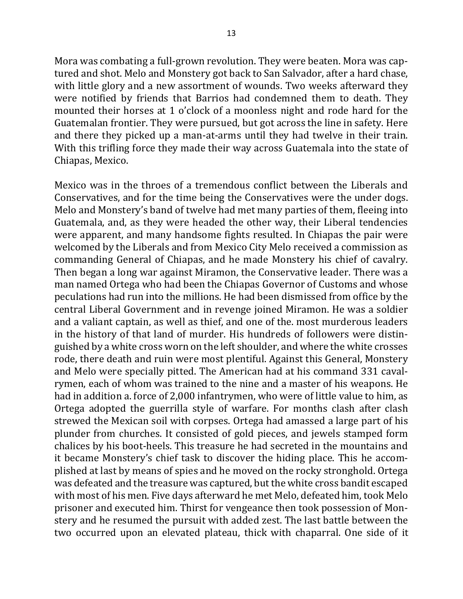Mora was combating a full-grown revolution. They were beaten. Mora was captured and shot. Melo and Monstery got back to San Salvador, after a hard chase, with little glory and a new assortment of wounds. Two weeks afterward they were notified by friends that Barrios had condemned them to death. They mounted their horses at 1 o'clock of a moonless night and rode hard for the Guatemalan frontier. They were pursued, but got across the line in safety. Here and there they picked up a man-at-arms until they had twelve in their train. With this trifling force they made their way across Guatemala into the state of Chiapas, Mexico.

Mexico was in the throes of a tremendous conflict between the Liberals and Conservatives, and for the time being the Conservatives were the under dogs. Melo and Monstery's band of twelve had met many parties of them, fleeing into Guatemala, and, as they were headed the other way, their Liberal tendencies were apparent, and many handsome fights resulted. In Chiapas the pair were welcomed by the Liberals and from Mexico City Melo received a commission as commanding General of Chiapas, and he made Monstery his chief of cavalry. Then began a long war against Miramon, the Conservative leader. There was a man named Ortega who had been the Chiapas Governor of Customs and whose peculations had run into the millions. He had been dismissed from office by the central Liberal Government and in revenge joined Miramon. He was a soldier and a valiant captain, as well as thief, and one of the. most murderous leaders in the history of that land of murder. His hundreds of followers were distinguished by a white cross worn on the left shoulder, and where the white crosses rode, there death and ruin were most plentiful. Against this General, Monstery and Melo were specially pitted. The American had at his command 331 cavalrymen, each of whom was trained to the nine and a master of his weapons. He had in addition a. force of 2,000 infantrymen, who were of little value to him, as Ortega adopted the guerrilla style of warfare. For months clash after clash strewed the Mexican soil with corpses. Ortega had amassed a large part of his plunder from churches. It consisted of gold pieces, and jewels stamped form chalices by his boot-heels. This treasure he had secreted in the mountains and it became Monstery's chief task to discover the hiding place. This he accomplished at last by means of spies and he moved on the rocky stronghold. Ortega was defeated and the treasure was captured, but the white cross bandit escaped with most of his men. Five days afterward he met Melo, defeated him, took Melo prisoner and executed him. Thirst for vengeance then took possession of Monstery and he resumed the pursuit with added zest. The last battle between the two occurred upon an elevated plateau, thick with chaparral. One side of it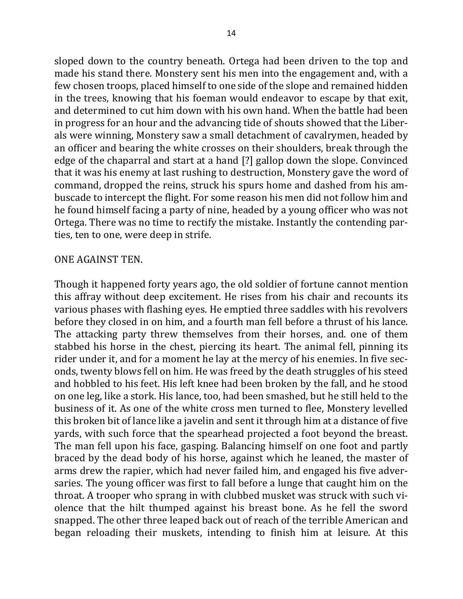sloped down to the country beneath. Ortega had been driven to the top and made his stand there. Monstery sent his men into the engagement and, with a few chosen troops, placed himself to one side of the slope and remained hidden in the trees, knowing that his foeman would endeavor to escape by that exit, and determined to cut him down with his own hand. When the battle had been in progress for an hour and the advancing tide of shouts showed that the Liberals were winning, Monstery saw a small detachment of cavalrymen, headed by an officer and bearing the white crosses on their shoulders, break through the edge of the chaparral and start at a hand [?] gallop down the slope. Convinced that it was his enemy at last rushing to destruction, Monstery gave the word of command, dropped the reins, struck his spurs home and dashed from his ambuscade to intercept the flight. For some reason his men did not follow him and he found himself facing a party of nine, headed by a young officer who was not Ortega. There was no time to rectify the mistake. Instantly the contending parties, ten to one, were deep in strife.

#### ONE AGAINST TEN.

Though it happened forty years ago, the old soldier of fortune cannot mention this affray without deep excitement. He rises from his chair and recounts its various phases with flashing eyes. He emptied three saddles with his revolvers before they closed in on him, and a fourth man fell before a thrust of his lance. The attacking party threw themselves from their horses, and. one of them stabbed his horse in the chest, piercing its heart. The animal fell, pinning its rider under it, and for a moment he lay at the mercy of his enemies. In five seconds, twenty blows fell on him. He was freed by the death struggles of his steed and hobbled to his feet. His left knee had been broken by the fall, and he stood on one leg, like a stork. His lance, too, had been smashed, but he still held to the business of it. As one of the white cross men turned to flee, Monstery levelled this broken bit of lance like a javelin and sent it through him at a distance of five yards, with such force that the spearhead projected a foot beyond the breast. The man fell upon his face, gasping. Balancing himself on one foot and partly braced by the dead body of his horse, against which he leaned, the master of arms drew the rapier, which had never failed him, and engaged his five adversaries. The young officer was first to fall before a lunge that caught him on the throat. A trooper who sprang in with clubbed musket was struck with such violence that the hilt thumped against his breast bone. As he fell the sword snapped. The other three leaped back out of reach of the terrible American and began reloading their muskets, intending to finish him at leisure. At this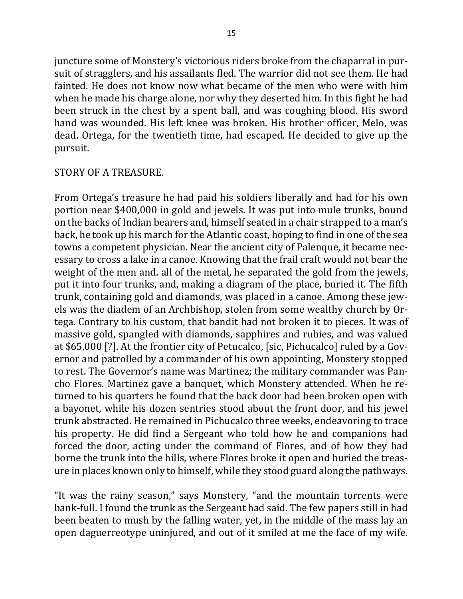juncture some of Monstery's victorious riders broke from the chaparral in pursuit of stragglers, and his assailants fled. The warrior did not see them. He had fainted. He does not know now what became of the men who were with him when he made his charge alone, nor why they deserted him. In this fight he had been struck in the chest by a spent ball, and was coughing blood. His sword hand was wounded. His left knee was broken. His brother officer, Melo, was dead. Ortega, for the twentieth time, had escaped. He decided to give up the pursuit.

### STORY OF A TREASURE.

From Ortega's treasure he had paid his soldiers liberally and had for his own portion near \$400,000 in gold and jewels. It was put into mule trunks, bound on the backs of Indian bearers and, himself seated in a chair strapped to a man's back, he took up his march for the Atlantic coast, hoping to find in one of the sea towns a competent physician. Near the ancient city of Palenque, it became necessary to cross a lake in a canoe. Knowing that the frail craft would not bear the weight of the men and, all of the metal, he separated the gold from the jewels, put it into four trunks, and, making a diagram of the place, buried it. The fifth trunk, containing gold and diamonds, was placed in a canoe. Among these jewels was the diadem of an Archbishop, stolen from some wealthy church by Ortega. Contrary to his custom, that bandit had not broken it to pieces. It was of massive gold, spangled with diamonds, sapphires and rubies, and was valued at \$65,000 [?]. At the frontier city of Petucalco, [sic, Pichucalco] ruled by a Governor and patrolled by a commander of his own appointing, Monstery stopped to rest. The Governor's name was Martinez; the military commander was Pancho Flores. Martinez gave a banquet, which Monstery attended. When he returned to his quarters he found that the back door had been broken open with a bayonet, while his dozen sentries stood about the front door, and his jewel trunk abstracted. He remained in Pichucalco three weeks, endeavoring to trace his property. He did find a Sergeant who told how he and companions had forced the door, acting under the command of Flores, and of how they had borne the trunk into the hills, where Flores broke it open and buried the treasure in places known only to himself, while they stood guard along the pathways.

"It was the rainy season," says Monstery, "and the mountain torrents were bank-full. I found the trunk as the Sergeant had said. The few papers still in had been beaten to mush by the falling water, yet, in the middle of the mass lay an open daguerreotype uninjured, and out of it smiled at me the face of my wife.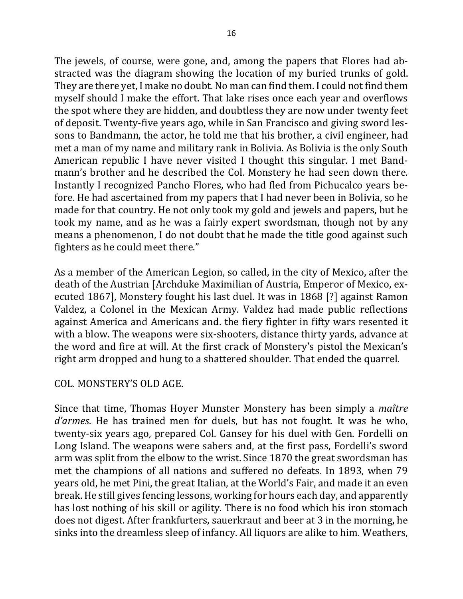The jewels, of course, were gone, and, among the papers that Flores had abstracted was the diagram showing the location of my buried trunks of gold. They are there yet, I make no doubt. No man can find them. I could not find them myself should I make the effort. That lake rises once each year and overflows the spot where they are hidden, and doubtless they are now under twenty feet of deposit. Twenty-five years ago, while in San Francisco and giving sword lessons to Bandmann, the actor, he told me that his brother, a civil engineer, had met a man of my name and military rank in Bolivia. As Bolivia is the only South American republic I have never visited I thought this singular. I met Bandmann's brother and he described the Col. Monstery he had seen down there. Instantly I recognized Pancho Flores, who had fled from Pichucalco years before. He had ascertained from my papers that I had never been in Bolivia, so he made for that country. He not only took my gold and jewels and papers, but he took my name, and as he was a fairly expert swordsman, though not by any means a phenomenon, I do not doubt that he made the title good against such fighters as he could meet there."

As a member of the American Legion, so called, in the city of Mexico, after the death of the Austrian [Archduke Maximilian of Austria, Emperor of Mexico, executed 1867], Monstery fought his last duel. It was in 1868 [?] against Ramon Valdez, a Colonel in the Mexican Army. Valdez had made public reflections against America and Americans and. the fiery fighter in fifty wars resented it with a blow. The weapons were six-shooters, distance thirty yards, advance at the word and fire at will. At the first crack of Monstery's pistol the Mexican's right arm dropped and hung to a shattered shoulder. That ended the quarrel.

### COL. MONSTERY'S OLD AGE.

Since that time, Thomas Hoyer Munster Monstery has been simply a *maître d'armes*. He has trained men for duels, but has not fought. It was he who, twenty-six years ago, prepared Col. Gansey for his duel with Gen. Fordelli on Long Island. The weapons were sabers and, at the first pass, Fordelli's sword arm was split from the elbow to the wrist. Since 1870 the great swordsman has met the champions of all nations and suffered no defeats. In 1893, when 79 years old, he met Pini, the great Italian, at the World's Fair, and made it an even break. He still gives fencing lessons, working for hours each day, and apparently has lost nothing of his skill or agility. There is no food which his iron stomach does not digest. After frankfurters, sauerkraut and beer at 3 in the morning, he sinks into the dreamless sleep of infancy. All liquors are alike to him. Weathers,